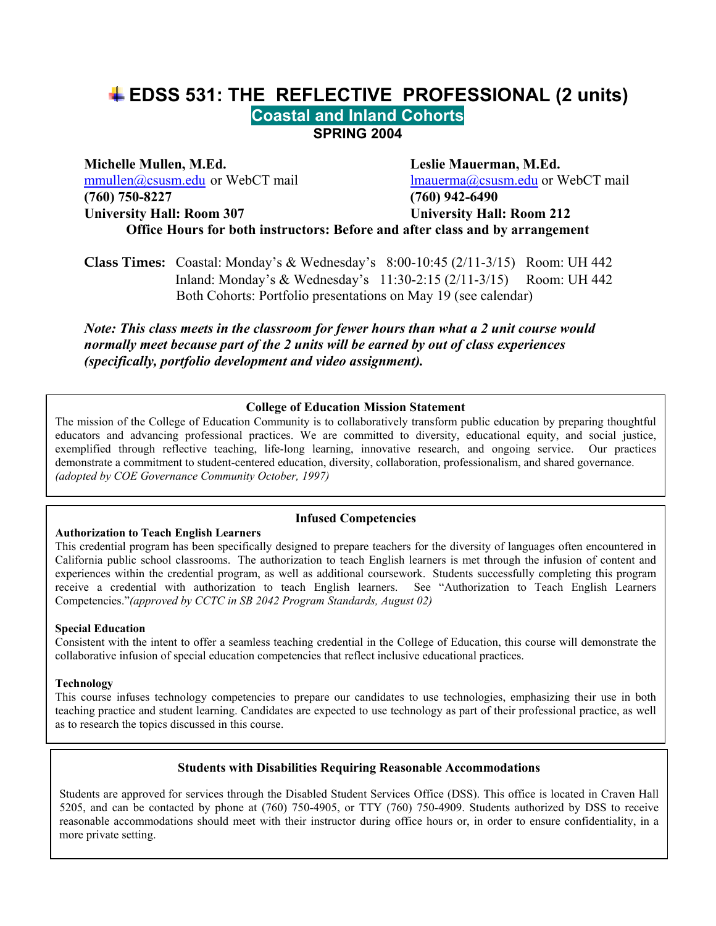# **EDSS 531: THE REFLECTIVE PROFESSIONAL (2 units) Coastal and Inland Cohorts SPRING 2004**

**Michelle Mullen, M.Ed. Leslie Mauerman, M.Ed.**  mmullen@csusm.edu or WebCT mail lmauerma@csusm.edu or WebCT mail **(760) 750-8227 (760) 942-6490 University Hall: Room 307 University Hall: Room 212 Office Hours for both instructors: Before and after class and by arrangement** 

**Class Times:** Coastal: Monday's & Wednesday's 8:00-10:45 (2/11-3/15) Room: UH 442 Inland: Monday's & Wednesday's 11:30-2:15 (2/11-3/15) Room: UH 442 Both Cohorts: Portfolio presentations on May 19 (see calendar)

*Note: This class meets in the classroom for fewer hours than what a 2 unit course would normally meet because part of the 2 units will be earned by out of class experiences (specifically, portfolio development and video assignment).* 

#### **College of Education Mission Statement**

The mission of the College of Education Community is to collaboratively transform public education by preparing thoughtful educators and advancing professional practices. We are committed to diversity, educational equity, and social justice, exemplified through reflective teaching, life-long learning, innovative research, and ongoing service. Our practices demonstrate a commitment to student-centered education, diversity, collaboration, professionalism, and shared governance. *(adopted by COE Governance Community October, 1997)*

#### **Infused Competencies**

This credential program has been specifically designed to prepare teachers for the diversity of languages often encountered in California public school classrooms. The authorization to teach English learners is met through the infusion of content and experiences within the credential program, as well as additional coursework. Students successfully completing this program receive a credential with authorization to teach English learners. See "Authorization to Teach English Learners Competencies."*(approved by CCTC in SB 2042 Program Standards, August 02)* 

#### **Special Education**

**Authorization to Teach English Learners** 

Consistent with the intent to offer a seamless teaching credential in the College of Education, this course will demonstrate the collaborative infusion of special education competencies that reflect inclusive educational practices.

#### **Technology**

This course infuses technology competencies to prepare our candidates to use technologies, emphasizing their use in both teaching practice and student learning. Candidates are expected to use technology as part of their professional practice, as well as to research the topics discussed in this course.

#### **Students with Disabilities Requiring Reasonable Accommodations**

reasonable accommodations should meet with their instructor during office hours or, in order to ensure confidentiality, in a Students are approved for services through the Disabled Student Services Office (DSS). This office is located in Craven Hall 5205, and can be contacted by phone at (760) 750-4905, or TTY (760) 750-4909. Students authorized by DSS to receive more private setting.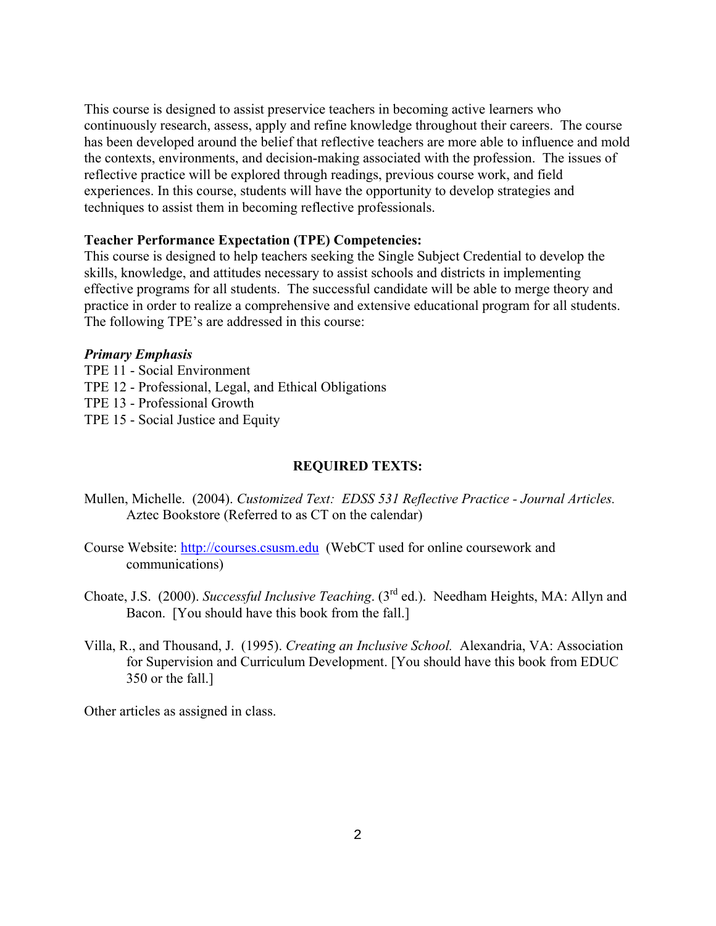This course is designed to assist preservice teachers in becoming active learners who continuously research, assess, apply and refine knowledge throughout their careers. The course has been developed around the belief that reflective teachers are more able to influence and mold the contexts, environments, and decision-making associated with the profession. The issues of reflective practice will be explored through readings, previous course work, and field experiences. In this course, students will have the opportunity to develop strategies and techniques to assist them in becoming reflective professionals.

#### **Teacher Performance Expectation (TPE) Competencies:**

This course is designed to help teachers seeking the Single Subject Credential to develop the skills, knowledge, and attitudes necessary to assist schools and districts in implementing effective programs for all students. The successful candidate will be able to merge theory and practice in order to realize a comprehensive and extensive educational program for all students. The following TPE's are addressed in this course:

#### *Primary Emphasis*

TPE 11 - Social Environment TPE 12 - Professional, Legal, and Ethical Obligations TPE 13 - Professional Growth TPE 15 - Social Justice and Equity

### **REQUIRED TEXTS:**

- Mullen, Michelle. (2004). *Customized Text: EDSS 531 Reflective Practice Journal Articles.* Aztec Bookstore (Referred to as CT on the calendar)
- Course Website: http://courses.csusm.edu (WebCT used for online coursework and communications)
- Choate, J.S. (2000). *Successful Inclusive Teaching*. (3rd ed.). Needham Heights, MA: Allyn and Bacon. [You should have this book from the fall.]
- Villa, R., and Thousand, J. (1995). *Creating an Inclusive School.* Alexandria, VA: Association for Supervision and Curriculum Development. [You should have this book from EDUC 350 or the fall.]

Other articles as assigned in class.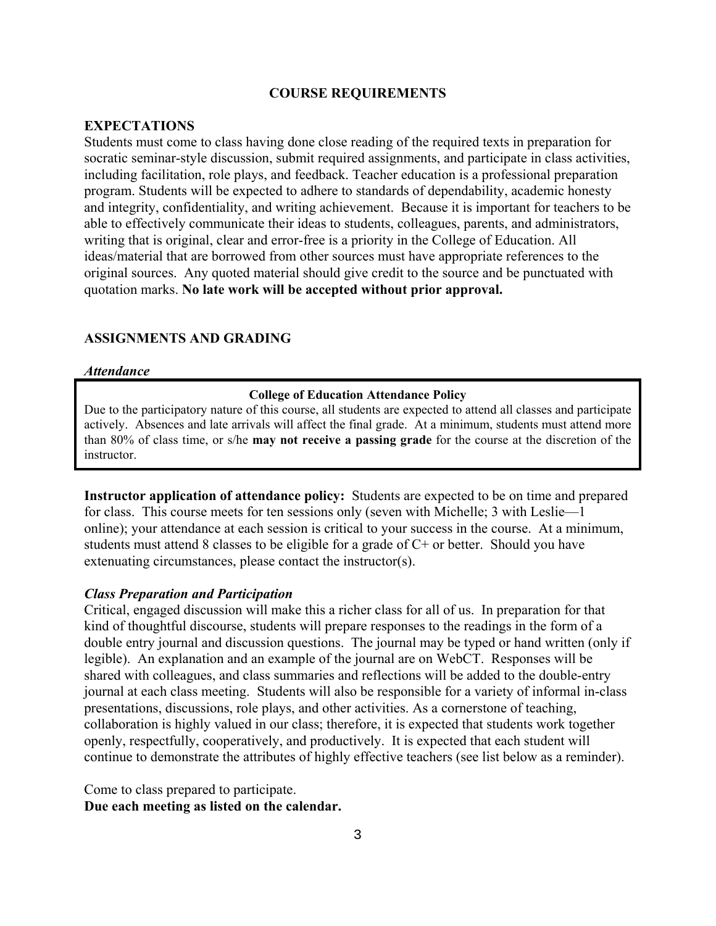#### **COURSE REQUIREMENTS**

#### **EXPECTATIONS**

Students must come to class having done close reading of the required texts in preparation for socratic seminar-style discussion, submit required assignments, and participate in class activities, including facilitation, role plays, and feedback. Teacher education is a professional preparation program. Students will be expected to adhere to standards of dependability, academic honesty and integrity, confidentiality, and writing achievement. Because it is important for teachers to be able to effectively communicate their ideas to students, colleagues, parents, and administrators, writing that is original, clear and error-free is a priority in the College of Education. All ideas/material that are borrowed from other sources must have appropriate references to the original sources. Any quoted material should give credit to the source and be punctuated with quotation marks. **No late work will be accepted without prior approval.** 

### **ASSIGNMENTS AND GRADING**

#### *Attendance*

#### **College of Education Attendance Policy**

Due to the participatory nature of this course, all students are expected to attend all classes and participate actively. Absences and late arrivals will affect the final grade. At a minimum, students must attend more than 80% of class time, or s/he **may not receive a passing grade** for the course at the discretion of the instructor.

**Instructor application of attendance policy:** Students are expected to be on time and prepared for class. This course meets for ten sessions only (seven with Michelle; 3 with Leslie—1 online); your attendance at each session is critical to your success in the course. At a minimum, students must attend 8 classes to be eligible for a grade of C+ or better. Should you have extenuating circumstances, please contact the instructor(s).

#### *Class Preparation and Participation*

Critical, engaged discussion will make this a richer class for all of us. In preparation for that kind of thoughtful discourse, students will prepare responses to the readings in the form of a double entry journal and discussion questions. The journal may be typed or hand written (only if legible). An explanation and an example of the journal are on WebCT. Responses will be shared with colleagues, and class summaries and reflections will be added to the double-entry journal at each class meeting. Students will also be responsible for a variety of informal in-class presentations, discussions, role plays, and other activities. As a cornerstone of teaching, collaboration is highly valued in our class; therefore, it is expected that students work together openly, respectfully, cooperatively, and productively. It is expected that each student will continue to demonstrate the attributes of highly effective teachers (see list below as a reminder).

Come to class prepared to participate. **Due each meeting as listed on the calendar.**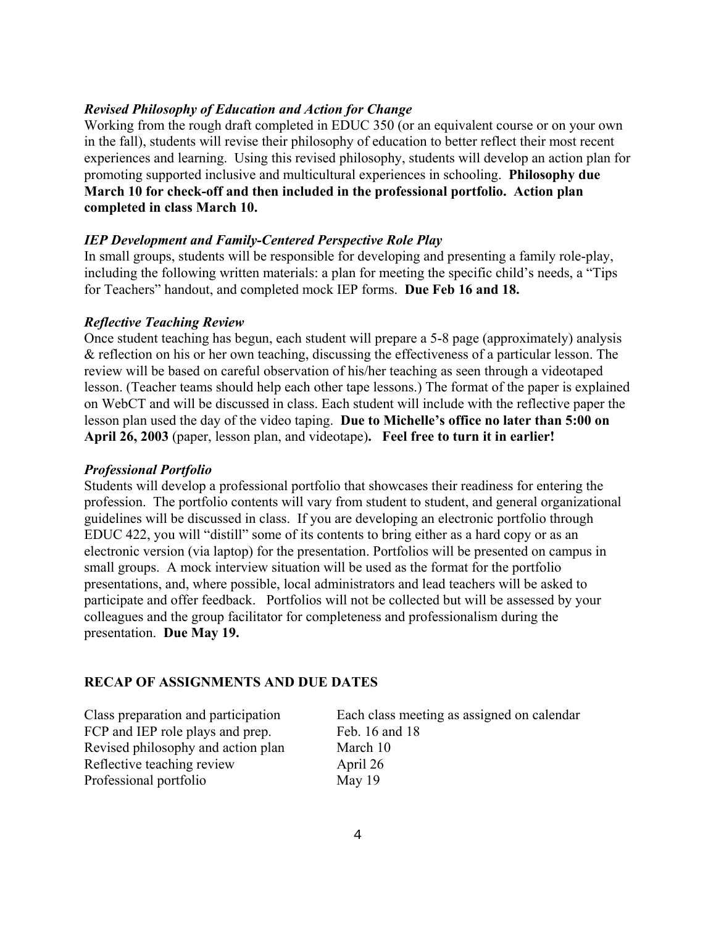### *Revised Philosophy of Education and Action for Change*

Working from the rough draft completed in EDUC 350 (or an equivalent course or on your own in the fall), students will revise their philosophy of education to better reflect their most recent experiences and learning. Using this revised philosophy, students will develop an action plan for promoting supported inclusive and multicultural experiences in schooling. **Philosophy due March 10 for check-off and then included in the professional portfolio. Action plan completed in class March 10.** 

### *IEP Development and Family-Centered Perspective Role Play*

In small groups, students will be responsible for developing and presenting a family role-play, including the following written materials: a plan for meeting the specific child's needs, a "Tips for Teachers" handout, and completed mock IEP forms. **Due Feb 16 and 18.** 

### *Reflective Teaching Review*

Once student teaching has begun, each student will prepare a 5-8 page (approximately) analysis & reflection on his or her own teaching, discussing the effectiveness of a particular lesson. The review will be based on careful observation of his/her teaching as seen through a videotaped lesson. (Teacher teams should help each other tape lessons.) The format of the paper is explained on WebCT and will be discussed in class. Each student will include with the reflective paper the lesson plan used the day of the video taping. **Due to Michelle's office no later than 5:00 on April 26, 2003** (paper, lesson plan, and videotape)**. Feel free to turn it in earlier!**

### *Professional Portfolio*

Students will develop a professional portfolio that showcases their readiness for entering the profession. The portfolio contents will vary from student to student, and general organizational guidelines will be discussed in class. If you are developing an electronic portfolio through EDUC 422, you will "distill" some of its contents to bring either as a hard copy or as an electronic version (via laptop) for the presentation. Portfolios will be presented on campus in small groups. A mock interview situation will be used as the format for the portfolio presentations, and, where possible, local administrators and lead teachers will be asked to participate and offer feedback. Portfolios will not be collected but will be assessed by your colleagues and the group facilitator for completeness and professionalism during the presentation. **Due May 19.** 

### **RECAP OF ASSIGNMENTS AND DUE DATES**

FCP and IEP role plays and prep. Feb. 16 and 18 Revised philosophy and action plan March 10 Reflective teaching review April 26 Professional portfolio May 19

Class preparation and participation Each class meeting as assigned on calendar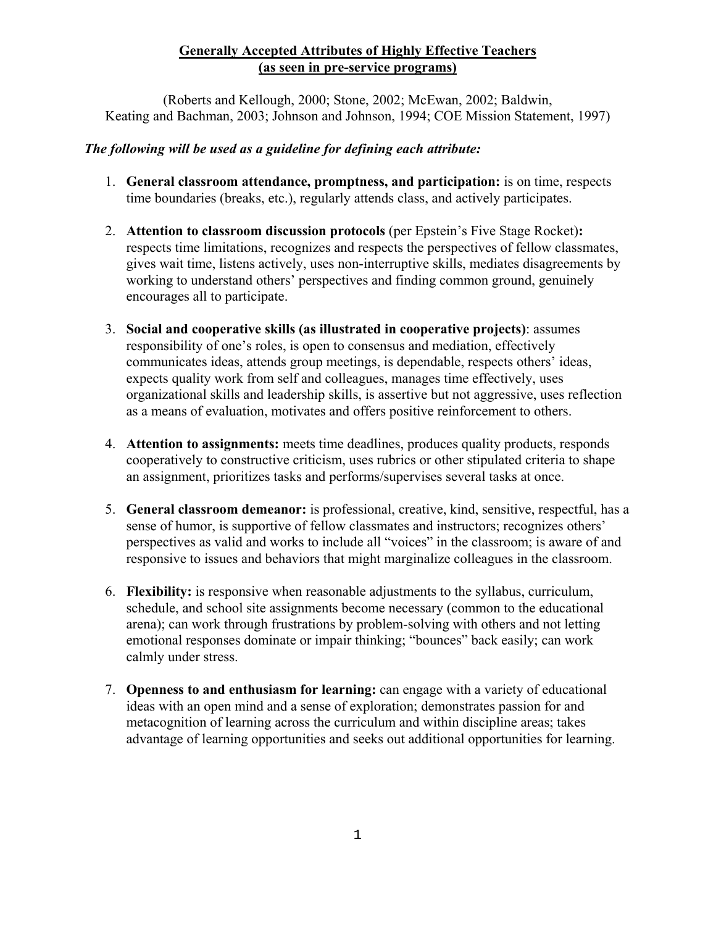## **Generally Accepted Attributes of Highly Effective Teachers (as seen in pre-service programs)**

(Roberts and Kellough, 2000; Stone, 2002; McEwan, 2002; Baldwin, Keating and Bachman, 2003; Johnson and Johnson, 1994; COE Mission Statement, 1997)

### *The following will be used as a guideline for defining each attribute:*

- 1. **General classroom attendance, promptness, and participation:** is on time, respects time boundaries (breaks, etc.), regularly attends class, and actively participates.
- 2. **Attention to classroom discussion protocols** (per Epstein's Five Stage Rocket)**:** respects time limitations, recognizes and respects the perspectives of fellow classmates, gives wait time, listens actively, uses non-interruptive skills, mediates disagreements by working to understand others' perspectives and finding common ground, genuinely encourages all to participate.
- 3. **Social and cooperative skills (as illustrated in cooperative projects)**: assumes responsibility of one's roles, is open to consensus and mediation, effectively communicates ideas, attends group meetings, is dependable, respects others' ideas, expects quality work from self and colleagues, manages time effectively, uses organizational skills and leadership skills, is assertive but not aggressive, uses reflection as a means of evaluation, motivates and offers positive reinforcement to others.
- 4. **Attention to assignments:** meets time deadlines, produces quality products, responds cooperatively to constructive criticism, uses rubrics or other stipulated criteria to shape an assignment, prioritizes tasks and performs/supervises several tasks at once.
- 5. **General classroom demeanor:** is professional, creative, kind, sensitive, respectful, has a sense of humor, is supportive of fellow classmates and instructors; recognizes others' perspectives as valid and works to include all "voices" in the classroom; is aware of and responsive to issues and behaviors that might marginalize colleagues in the classroom.
- 6. **Flexibility:** is responsive when reasonable adjustments to the syllabus, curriculum, schedule, and school site assignments become necessary (common to the educational arena); can work through frustrations by problem-solving with others and not letting emotional responses dominate or impair thinking; "bounces" back easily; can work calmly under stress.
- 7. **Openness to and enthusiasm for learning:** can engage with a variety of educational ideas with an open mind and a sense of exploration; demonstrates passion for and metacognition of learning across the curriculum and within discipline areas; takes advantage of learning opportunities and seeks out additional opportunities for learning.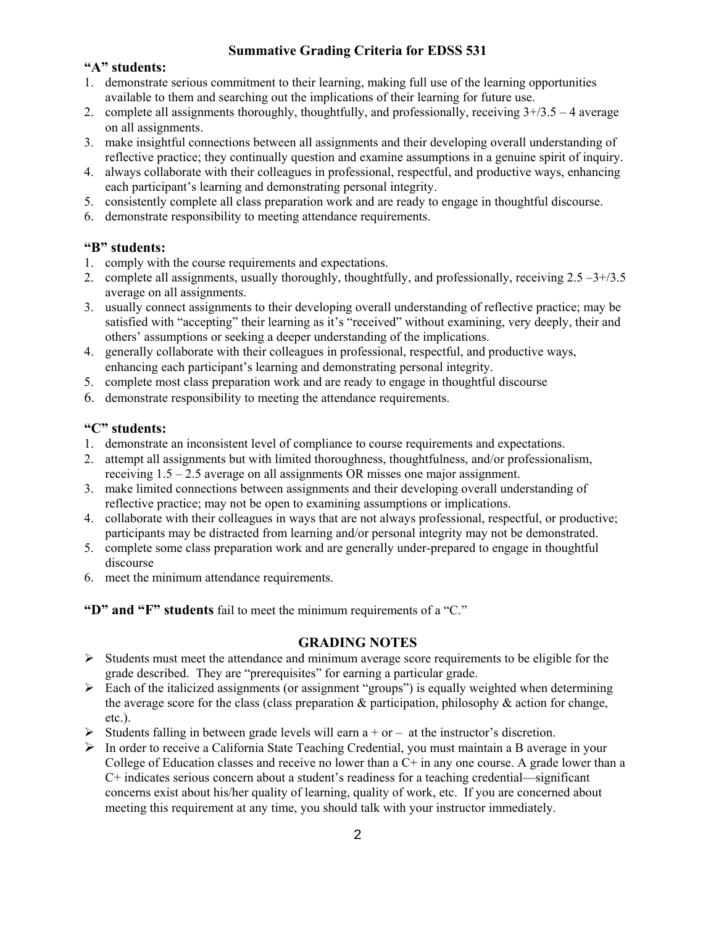### **Summative Grading Criteria for EDSS 531**

### **"A" students:**

- 1. demonstrate serious commitment to their learning, making full use of the learning opportunities available to them and searching out the implications of their learning for future use.
- 2. complete all assignments thoroughly, thoughtfully, and professionally, receiving  $3+/3.5 4$  average on all assignments.
- 3. make insightful connections between all assignments and their developing overall understanding of reflective practice; they continually question and examine assumptions in a genuine spirit of inquiry.
- 4. always collaborate with their colleagues in professional, respectful, and productive ways, enhancing each participant's learning and demonstrating personal integrity.
- 5. consistently complete all class preparation work and are ready to engage in thoughtful discourse.
- 6. demonstrate responsibility to meeting attendance requirements.

### **"B" students:**

- 1. comply with the course requirements and expectations.
- 2. complete all assignments, usually thoroughly, thoughtfully, and professionally, receiving  $2.5 3 + /3.5$ average on all assignments.
- 3. usually connect assignments to their developing overall understanding of reflective practice; may be satisfied with "accepting" their learning as it's "received" without examining, very deeply, their and others' assumptions or seeking a deeper understanding of the implications.
- 4. generally collaborate with their colleagues in professional, respectful, and productive ways, enhancing each participant's learning and demonstrating personal integrity.
- 5. complete most class preparation work and are ready to engage in thoughtful discourse
- 6. demonstrate responsibility to meeting the attendance requirements.

## **"C" students:**

- 1. demonstrate an inconsistent level of compliance to course requirements and expectations.
- 2. attempt all assignments but with limited thoroughness, thoughtfulness, and/or professionalism, receiving 1.5 – 2.5 average on all assignments OR misses one major assignment.
- 3. make limited connections between assignments and their developing overall understanding of reflective practice; may not be open to examining assumptions or implications.
- 4. collaborate with their colleagues in ways that are not always professional, respectful, or productive; participants may be distracted from learning and/or personal integrity may not be demonstrated.
- 5. complete some class preparation work and are generally under-prepared to engage in thoughtful discourse
- 6. meet the minimum attendance requirements.

**"D" and "F" students** fail to meet the minimum requirements of a "C."

### **GRADING NOTES**

- $\triangleright$  Students must meet the attendance and minimum average score requirements to be eligible for the grade described. They are "prerequisites" for earning a particular grade.
- $\triangleright$  Each of the italicized assignments (or assignment "groups") is equally weighted when determining the average score for the class (class preparation & participation, philosophy & action for change, etc.).
- $\triangleright$  Students falling in between grade levels will earn a + or at the instructor's discretion.
- $\triangleright$  In order to receive a California State Teaching Credential, you must maintain a B average in your College of Education classes and receive no lower than a  $C<sup>+</sup>$  in any one course. A grade lower than a C+ indicates serious concern about a student's readiness for a teaching credential—significant concerns exist about his/her quality of learning, quality of work, etc. If you are concerned about meeting this requirement at any time, you should talk with your instructor immediately.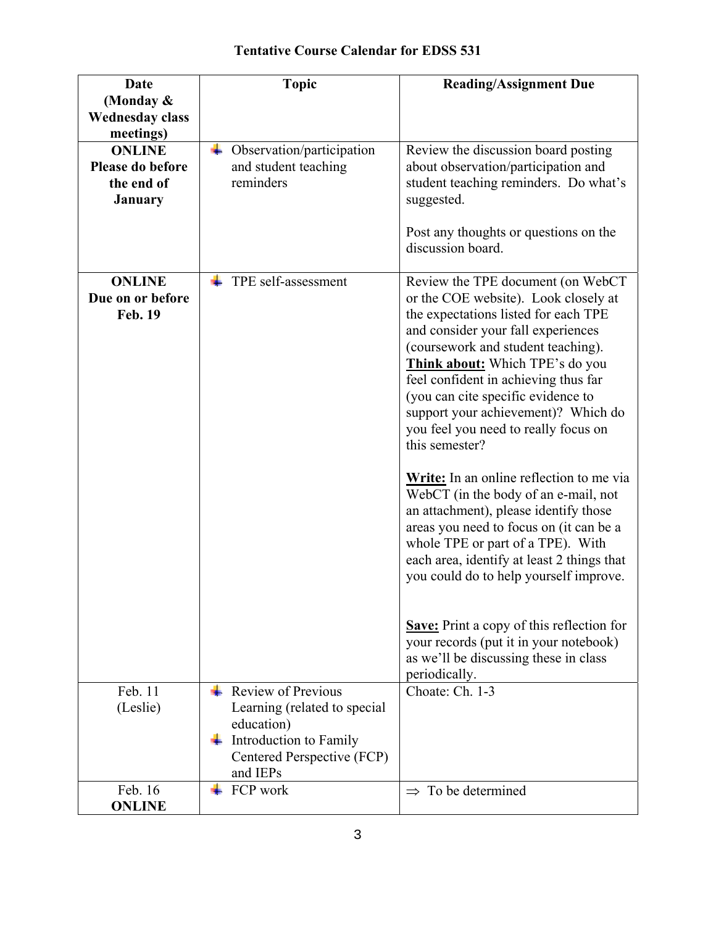# **Tentative Course Calendar for EDSS 531**

| <b>Date</b>                         | <b>Topic</b>                           | <b>Reading/Assignment Due</b>                                                           |
|-------------------------------------|----------------------------------------|-----------------------------------------------------------------------------------------|
| (Monday &                           |                                        |                                                                                         |
| <b>Wednesday class</b><br>meetings) |                                        |                                                                                         |
| <b>ONLINE</b>                       | Observation/participation              | Review the discussion board posting                                                     |
| Please do before                    | and student teaching                   | about observation/participation and                                                     |
| the end of                          | reminders                              | student teaching reminders. Do what's                                                   |
| <b>January</b>                      |                                        | suggested.                                                                              |
|                                     |                                        |                                                                                         |
|                                     |                                        | Post any thoughts or questions on the<br>discussion board.                              |
|                                     |                                        |                                                                                         |
| <b>ONLINE</b>                       | TPE self-assessment                    | Review the TPE document (on WebCT                                                       |
| Due on or before                    |                                        | or the COE website). Look closely at                                                    |
| <b>Feb. 19</b>                      |                                        | the expectations listed for each TPE                                                    |
|                                     |                                        | and consider your fall experiences                                                      |
|                                     |                                        | (coursework and student teaching).                                                      |
|                                     |                                        | Think about: Which TPE's do you                                                         |
|                                     |                                        | feel confident in achieving thus far<br>(you can cite specific evidence to              |
|                                     |                                        | support your achievement)? Which do                                                     |
|                                     |                                        | you feel you need to really focus on                                                    |
|                                     |                                        | this semester?                                                                          |
|                                     |                                        |                                                                                         |
|                                     |                                        | <b>Write:</b> In an online reflection to me via<br>WebCT (in the body of an e-mail, not |
|                                     |                                        | an attachment), please identify those                                                   |
|                                     |                                        | areas you need to focus on (it can be a                                                 |
|                                     |                                        | whole TPE or part of a TPE). With                                                       |
|                                     |                                        | each area, identify at least 2 things that                                              |
|                                     |                                        | you could do to help yourself improve.                                                  |
|                                     |                                        |                                                                                         |
|                                     |                                        | <b>Save:</b> Print a copy of this reflection for                                        |
|                                     |                                        | your records (put it in your notebook)                                                  |
|                                     |                                        | as we'll be discussing these in class                                                   |
|                                     |                                        | periodically.                                                                           |
| Feb. 11                             | Review of Previous                     | Choate: Ch. 1-3                                                                         |
| (Leslie)                            | Learning (related to special           |                                                                                         |
|                                     | education)                             |                                                                                         |
|                                     | Introduction to Family                 |                                                                                         |
|                                     | Centered Perspective (FCP)<br>and IEPs |                                                                                         |
| Feb. 16                             | FCP work                               | To be determined<br>$\Rightarrow$                                                       |
| <b>ONLINE</b>                       |                                        |                                                                                         |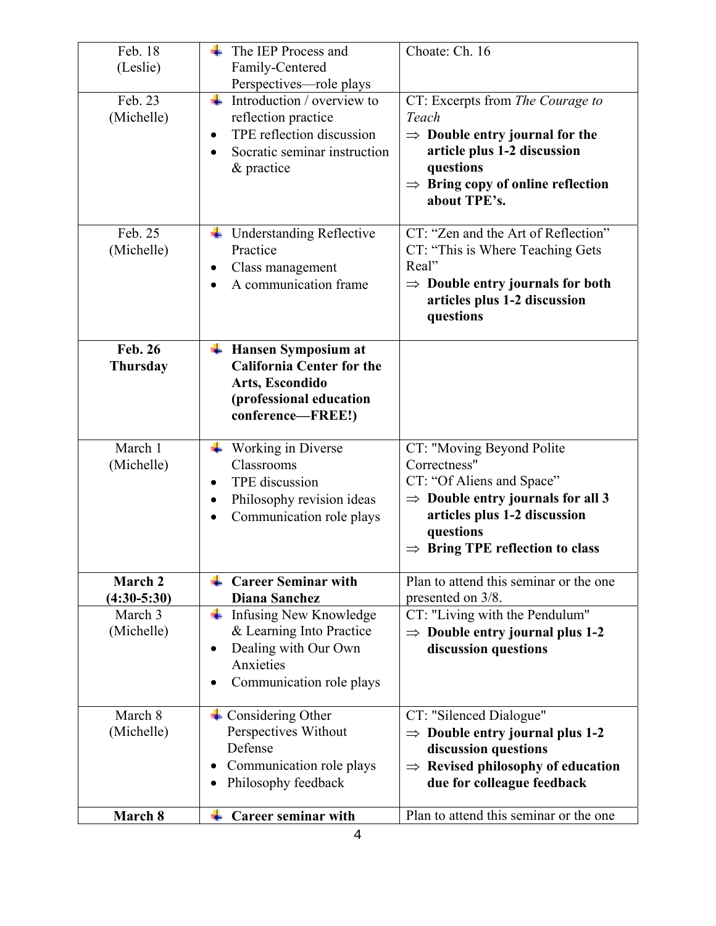| Feb. 18<br>(Leslie)               | The IEP Process and<br>÷.<br>Family-Centered                                                                                                                | Choate: Ch. 16                                                                                                                                                                                                      |
|-----------------------------------|-------------------------------------------------------------------------------------------------------------------------------------------------------------|---------------------------------------------------------------------------------------------------------------------------------------------------------------------------------------------------------------------|
|                                   | Perspectives-role plays                                                                                                                                     |                                                                                                                                                                                                                     |
| Feb. 23<br>(Michelle)             | ÷<br>Introduction / overview to<br>reflection practice<br>TPE reflection discussion<br>$\bullet$<br>Socratic seminar instruction<br>$\bullet$<br>& practice | CT: Excerpts from The Courage to<br>Teach<br>$\Rightarrow$ Double entry journal for the<br>article plus 1-2 discussion<br>questions<br>$\Rightarrow$ Bring copy of online reflection<br>about TPE's.                |
| Feb. 25<br>(Michelle)             | <b>Understanding Reflective</b><br>Practice<br>Class management<br>$\bullet$<br>A communication frame                                                       | CT: "Zen and the Art of Reflection"<br>CT: "This is Where Teaching Gets<br>Real"<br>$\Rightarrow$ Double entry journals for both<br>articles plus 1-2 discussion<br>questions                                       |
| <b>Feb. 26</b><br><b>Thursday</b> | <b>Hansen Symposium at</b><br>÷<br><b>California Center for the</b><br>Arts, Escondido<br>(professional education<br>conference-FREE!)                      |                                                                                                                                                                                                                     |
| March 1<br>(Michelle)             | Working in Diverse<br>Classrooms<br>TPE discussion<br>Philosophy revision ideas<br>$\bullet$<br>Communication role plays<br>$\bullet$                       | CT: "Moving Beyond Polite<br>Correctness"<br>CT: "Of Aliens and Space"<br>$\Rightarrow$ Double entry journals for all 3<br>articles plus 1-2 discussion<br>questions<br>$\Rightarrow$ Bring TPE reflection to class |
| March 2<br>$(4:30-5:30)$          | <b>Career Seminar with</b><br><b>Diana Sanchez</b>                                                                                                          | Plan to attend this seminar or the one<br>presented on 3/8.                                                                                                                                                         |
| March 3<br>(Michelle)             | <b>Infusing New Knowledge</b><br>۰.<br>& Learning Into Practice<br>Dealing with Our Own<br>٠<br>Anxieties<br>Communication role plays                       | CT: "Living with the Pendulum"<br>$\Rightarrow$ Double entry journal plus 1-2<br>discussion questions                                                                                                               |
| March 8<br>(Michelle)             | $\overline{\phantom{a}}$ Considering Other<br>Perspectives Without<br>Defense<br>Communication role plays<br>$\bullet$<br>Philosophy feedback               | CT: "Silenced Dialogue"<br>$\Rightarrow$ Double entry journal plus 1-2<br>discussion questions<br>$\Rightarrow$ Revised philosophy of education<br>due for colleague feedback                                       |
| March 8                           | Career seminar with                                                                                                                                         | Plan to attend this seminar or the one                                                                                                                                                                              |